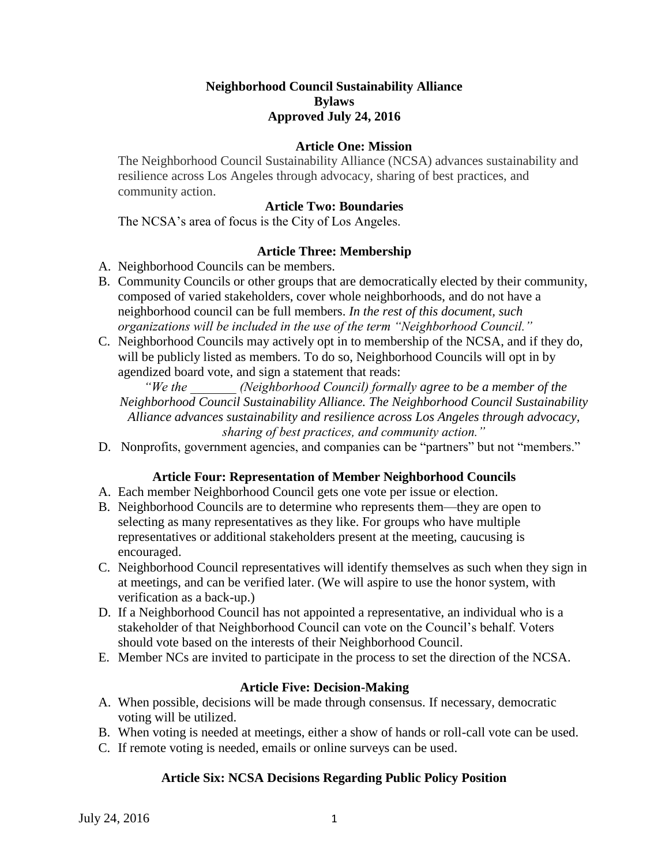#### **Neighborhood Council Sustainability Alliance Bylaws Approved July 24, 2016**

#### **Article One: Mission**

The Neighborhood Council Sustainability Alliance (NCSA) advances sustainability and resilience across Los Angeles through advocacy, sharing of best practices, and community action.

# **Article Two: Boundaries**

The NCSA's area of focus is the City of Los Angeles.

# **Article Three: Membership**

- A. Neighborhood Councils can be members.
- B. Community Councils or other groups that are democratically elected by their community, composed of varied stakeholders, cover whole neighborhoods, and do not have a neighborhood council can be full members. *In the rest of this document, such organizations will be included in the use of the term "Neighborhood Council."*
- C. Neighborhood Councils may actively opt in to membership of the NCSA, and if they do, will be publicly listed as members. To do so, Neighborhood Councils will opt in by agendized board vote, and sign a statement that reads:

*"We the \_\_\_\_\_\_\_ (Neighborhood Council) formally agree to be a member of the Neighborhood Council Sustainability Alliance. The Neighborhood Council Sustainability Alliance advances sustainability and resilience across Los Angeles through advocacy, sharing of best practices, and community action."*

D. Nonprofits, government agencies, and companies can be "partners" but not "members."

# **Article Four: Representation of Member Neighborhood Councils**

- A. Each member Neighborhood Council gets one vote per issue or election.
- B. Neighborhood Councils are to determine who represents them—they are open to selecting as many representatives as they like. For groups who have multiple representatives or additional stakeholders present at the meeting, caucusing is encouraged.
- C. Neighborhood Council representatives will identify themselves as such when they sign in at meetings, and can be verified later. (We will aspire to use the honor system, with verification as a back-up.)
- D. If a Neighborhood Council has not appointed a representative, an individual who is a stakeholder of that Neighborhood Council can vote on the Council's behalf. Voters should vote based on the interests of their Neighborhood Council.
- E. Member NCs are invited to participate in the process to set the direction of the NCSA.

# **Article Five: Decision-Making**

- A. When possible, decisions will be made through consensus. If necessary, democratic voting will be utilized.
- B. When voting is needed at meetings, either a show of hands or roll-call vote can be used.
- C. If remote voting is needed, emails or online surveys can be used.

# **Article Six: NCSA Decisions Regarding Public Policy Position**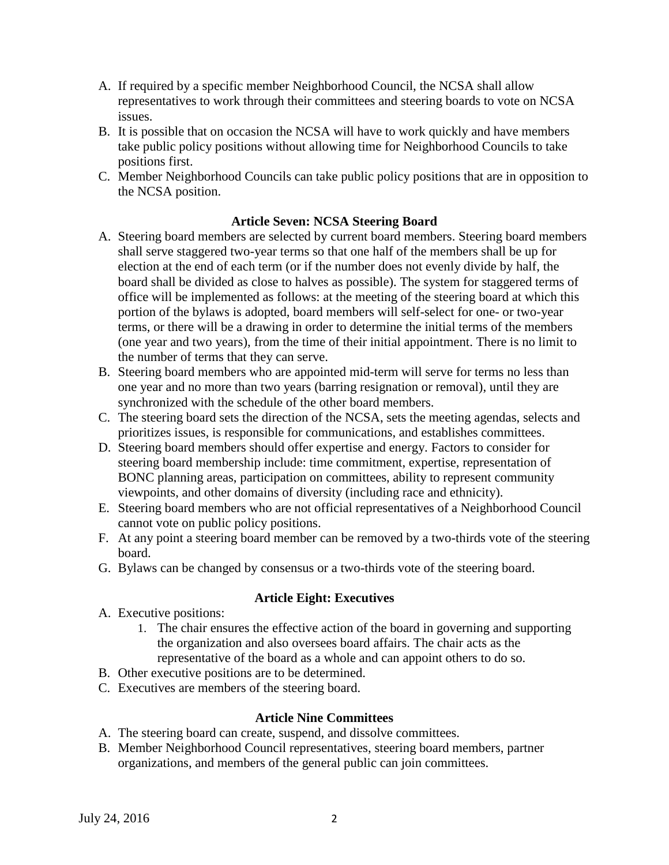- A. If required by a specific member Neighborhood Council, the NCSA shall allow representatives to work through their committees and steering boards to vote on NCSA issues.
- B. It is possible that on occasion the NCSA will have to work quickly and have members take public policy positions without allowing time for Neighborhood Councils to take positions first.
- C. Member Neighborhood Councils can take public policy positions that are in opposition to the NCSA position.

# **Article Seven: NCSA Steering Board**

- A. Steering board members are selected by current board members. Steering board members shall serve staggered two-year terms so that one half of the members shall be up for election at the end of each term (or if the number does not evenly divide by half, the board shall be divided as close to halves as possible). The system for staggered terms of office will be implemented as follows: at the meeting of the steering board at which this portion of the bylaws is adopted, board members will self-select for one- or two-year terms, or there will be a drawing in order to determine the initial terms of the members (one year and two years), from the time of their initial appointment. There is no limit to the number of terms that they can serve.
- B. Steering board members who are appointed mid-term will serve for terms no less than one year and no more than two years (barring resignation or removal), until they are synchronized with the schedule of the other board members.
- C. The steering board sets the direction of the NCSA, sets the meeting agendas, selects and prioritizes issues, is responsible for communications, and establishes committees.
- D. Steering board members should offer expertise and energy. Factors to consider for steering board membership include: time commitment, expertise, representation of BONC planning areas, participation on committees, ability to represent community viewpoints, and other domains of diversity (including race and ethnicity).
- E. Steering board members who are not official representatives of a Neighborhood Council cannot vote on public policy positions.
- F. At any point a steering board member can be removed by a two-thirds vote of the steering board.
- G. Bylaws can be changed by consensus or a two-thirds vote of the steering board.

# **Article Eight: Executives**

- A. Executive positions:
	- 1. The chair ensures the effective action of the board in governing and supporting the organization and also oversees board affairs. The chair acts as the representative of the board as a whole and can appoint others to do so.
- B. Other executive positions are to be determined.
- C. Executives are members of the steering board.

#### **Article Nine Committees**

- A. The steering board can create, suspend, and dissolve committees.
- B. Member Neighborhood Council representatives, steering board members, partner organizations, and members of the general public can join committees.